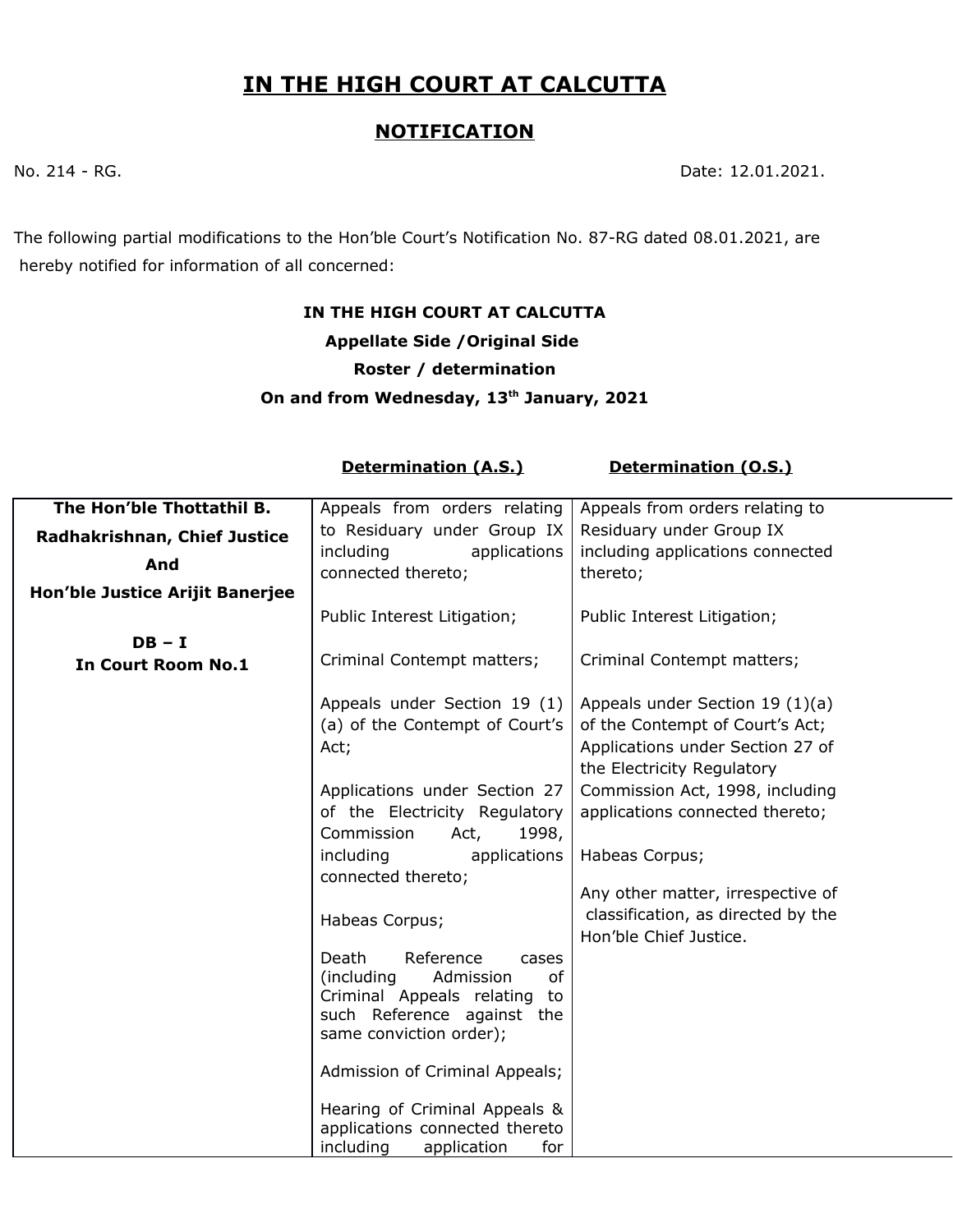## **IN THE HIGH COURT AT CALCUTTA**

## **NOTIFICATION**

No. 214 - RG. 2021.

The following partial modifications to the Hon'ble Court's Notification No. 87-RG dated 08.01.2021, are hereby notified for information of all concerned:

## **IN THE HIGH COURT AT CALCUTTA Appellate Side /Original Side Roster / determination On and from Wednesday, 13th January, 2021**

**Determination (A.S.)** Determination (O.S.)

| The Hon'ble Thottathil B.       | Appeals from orders relating                                  | Appeals from orders relating to    |
|---------------------------------|---------------------------------------------------------------|------------------------------------|
| Radhakrishnan, Chief Justice    | to Residuary under Group IX                                   | Residuary under Group IX           |
| And                             | including<br>applications                                     | including applications connected   |
|                                 | connected thereto;                                            | thereto;                           |
| Hon'ble Justice Arijit Banerjee |                                                               |                                    |
|                                 | Public Interest Litigation;                                   | Public Interest Litigation;        |
| $DB - I$                        |                                                               |                                    |
| <b>In Court Room No.1</b>       | Criminal Contempt matters;                                    | Criminal Contempt matters;         |
|                                 |                                                               |                                    |
|                                 | Appeals under Section 19 (1)                                  | Appeals under Section 19 (1)(a)    |
|                                 | (a) of the Contempt of Court's                                | of the Contempt of Court's Act;    |
|                                 | Act;                                                          | Applications under Section 27 of   |
|                                 |                                                               | the Electricity Regulatory         |
|                                 | Applications under Section 27                                 | Commission Act, 1998, including    |
|                                 | of the Electricity Regulatory                                 | applications connected thereto;    |
|                                 | Commission<br>Act,<br>1998,                                   |                                    |
|                                 | applications<br>including                                     | Habeas Corpus;                     |
|                                 | connected thereto;                                            |                                    |
|                                 |                                                               | Any other matter, irrespective of  |
|                                 | Habeas Corpus;                                                | classification, as directed by the |
|                                 |                                                               | Hon'ble Chief Justice.             |
|                                 | Death<br>Reference<br>cases                                   |                                    |
|                                 | (including<br>Admission<br>οf                                 |                                    |
|                                 | Criminal Appeals relating<br>to<br>such Reference against the |                                    |
|                                 | same conviction order);                                       |                                    |
|                                 |                                                               |                                    |
|                                 | Admission of Criminal Appeals;                                |                                    |
|                                 |                                                               |                                    |
|                                 | Hearing of Criminal Appeals &                                 |                                    |
|                                 | applications connected thereto                                |                                    |
|                                 | including<br>application<br>for                               |                                    |